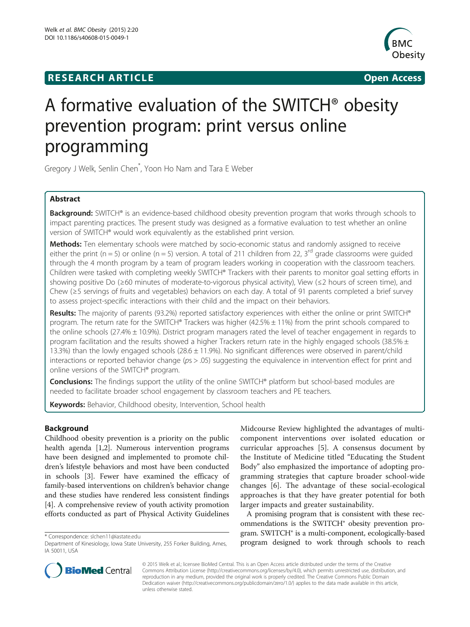## **RESEARCH ARTICLE Example 2014 CONSIDERING CONSIDERING CONSIDERING CONSIDERING CONSIDERING CONSIDERING CONSIDERING CONSIDERING CONSIDERING CONSIDERING CONSIDERING CONSIDERING CONSIDERING CONSIDERING CONSIDERING CONSIDE**



# A formative evaluation of the SWITCH® obesity prevention program: print versus online programming

Gregory J Welk, Senlin Chen\* , Yoon Ho Nam and Tara E Weber

## Abstract

Background: SWITCH® is an evidence-based childhood obesity prevention program that works through schools to impact parenting practices. The present study was designed as a formative evaluation to test whether an online version of SWITCH® would work equivalently as the established print version.

Methods: Ten elementary schools were matched by socio-economic status and randomly assigned to receive either the print (n = 5) or online (n = 5) version. A total of 211 children from 22, 3<sup>rd</sup> grade classrooms were guided through the 4 month program by a team of program leaders working in cooperation with the classroom teachers. Children were tasked with completing weekly SWITCH® Trackers with their parents to monitor goal setting efforts in showing positive Do (≥60 minutes of moderate-to-vigorous physical activity), View (≤2 hours of screen time), and Chew (≥5 servings of fruits and vegetables) behaviors on each day. A total of 91 parents completed a brief survey to assess project-specific interactions with their child and the impact on their behaviors.

Results: The majority of parents (93.2%) reported satisfactory experiences with either the online or print SWITCH® program. The return rate for the SWITCH® Trackers was higher (42.5% ± 11%) from the print schools compared to the online schools (27.4%  $\pm$  10.9%). District program managers rated the level of teacher engagement in regards to program facilitation and the results showed a higher Trackers return rate in the highly engaged schools (38.5%  $\pm$ 13.3%) than the lowly engaged schools (28.6 ± 11.9%). No significant differences were observed in parent/child interactions or reported behavior change (ps > .05) suggesting the equivalence in intervention effect for print and online versions of the SWITCH® program.

**Conclusions:** The findings support the utility of the online SWITCH® platform but school-based modules are needed to facilitate broader school engagement by classroom teachers and PE teachers.

Keywords: Behavior, Childhood obesity, Intervention, School health

## **Background**

Childhood obesity prevention is a priority on the public health agenda [[1](#page-7-0),[2\]](#page-7-0). Numerous intervention programs have been designed and implemented to promote children's lifestyle behaviors and most have been conducted in schools [\[3](#page-7-0)]. Fewer have examined the efficacy of family-based interventions on children's behavior change and these studies have rendered less consistent findings [[4\]](#page-7-0). A comprehensive review of youth activity promotion efforts conducted as part of Physical Activity Guidelines

Midcourse Review highlighted the advantages of multicomponent interventions over isolated education or curricular approaches [\[5](#page-7-0)]. A consensus document by the Institute of Medicine titled "Educating the Student Body" also emphasized the importance of adopting programming strategies that capture broader school-wide changes [\[6](#page-7-0)]. The advantage of these social-ecological approaches is that they have greater potential for both larger impacts and greater sustainability.

A promising program that is consistent with these recommendations is the SWITCH® obesity prevention program. SWITCH® is a multi-component, ecologically-based ercorrespondence: [slchen11@iastate.edu](mailto:slchen11@iastate.edu)<br>Department of Kinesiology, Iowa State University, 255 Forker Building, Ames, **buttom designed to work through schools to reach** 



© 2015 Welk et al.; licensee BioMed Central. This is an Open Access article distributed under the terms of the Creative Commons Attribution License [\(http://creativecommons.org/licenses/by/4.0\)](http://creativecommons.org/licenses/by/4.0), which permits unrestricted use, distribution, and reproduction in any medium, provided the original work is properly credited. The Creative Commons Public Domain Dedication waiver [\(http://creativecommons.org/publicdomain/zero/1.0/](http://creativecommons.org/publicdomain/zero/1.0/)) applies to the data made available in this article, unless otherwise stated.

Department of Kinesiology, Iowa State University, 255 Forker Building, Ames, IA 50011, USA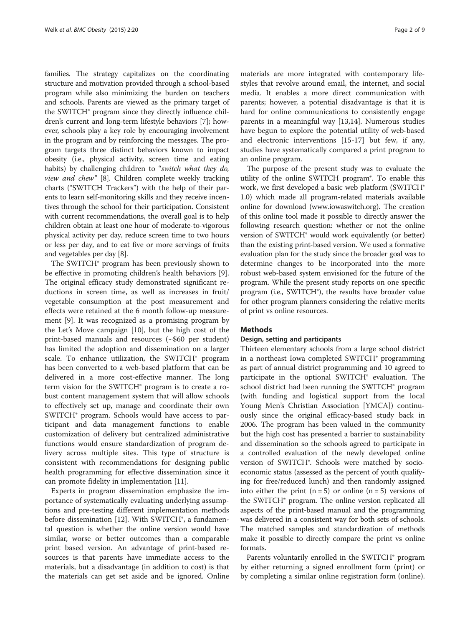families. The strategy capitalizes on the coordinating structure and motivation provided through a school-based program while also minimizing the burden on teachers and schools. Parents are viewed as the primary target of the SWITCH® program since they directly influence children's current and long-term lifestyle behaviors [\[7](#page-7-0)]; however, schools play a key role by encouraging involvement in the program and by reinforcing the messages. The program targets three distinct behaviors known to impact obesity (i.e., physical activity, screen time and eating habits) by challenging children to "switch what they do, view and chew" [\[8](#page-7-0)]. Children complete weekly tracking charts ("SWITCH Trackers") with the help of their parents to learn self-monitoring skills and they receive incentives through the school for their participation. Consistent with current recommendations, the overall goal is to help children obtain at least one hour of moderate-to-vigorous physical activity per day, reduce screen time to two hours or less per day, and to eat five or more servings of fruits and vegetables per day [\[8](#page-7-0)].

The SWITCH® program has been previously shown to be effective in promoting children's health behaviors [\[9](#page-7-0)]. The original efficacy study demonstrated significant reductions in screen time, as well as increases in fruit/ vegetable consumption at the post measurement and effects were retained at the 6 month follow-up measurement [[9\]](#page-7-0). It was recognized as a promising program by the Let's Move campaign [[10](#page-7-0)], but the high cost of the print-based manuals and resources (~\$60 per student) has limited the adoption and dissemination on a larger scale. To enhance utilization, the SWITCH® program has been converted to a web-based platform that can be delivered in a more cost-effective manner. The long term vision for the SWITCH® program is to create a robust content management system that will allow schools to effectively set up, manage and coordinate their own SWITCH® program. Schools would have access to participant and data management functions to enable customization of delivery but centralized administrative functions would ensure standardization of program delivery across multiple sites. This type of structure is consistent with recommendations for designing public health programming for effective dissemination since it can promote fidelity in implementation [\[11\]](#page-7-0).

Experts in program dissemination emphasize the importance of systematically evaluating underlying assumptions and pre-testing different implementation methods before dissemination [\[12](#page-7-0)]. With SWITCH<sup>®</sup>, a fundamental question is whether the online version would have similar, worse or better outcomes than a comparable print based version. An advantage of print-based resources is that parents have immediate access to the materials, but a disadvantage (in addition to cost) is that the materials can get set aside and be ignored. Online

materials are more integrated with contemporary lifestyles that revolve around email, the internet, and social media. It enables a more direct communication with parents; however, a potential disadvantage is that it is hard for online communications to consistently engage parents in a meaningful way [[13,](#page-7-0)[14\]](#page-8-0). Numerous studies have begun to explore the potential utility of web-based and electronic interventions [[15-17\]](#page-8-0) but few, if any, studies have systematically compared a print program to an online program.

The purpose of the present study was to evaluate the utility of the online SWITCH program®. To enable this work, we first developed a basic web platform (SWITCH<sup>®</sup> 1.0) which made all program-related materials available online for download [\(www.iowaswitch.org](http://www.iowaswitch.org)). The creation of this online tool made it possible to directly answer the following research question: whether or not the online version of SWITCH® would work equivalently (or better) than the existing print-based version. We used a formative evaluation plan for the study since the broader goal was to determine changes to be incorporated into the more robust web-based system envisioned for the future of the program. While the present study reports on one specific program (i.e., SWITCH®), the results have broader value for other program planners considering the relative merits of print vs online resources.

#### Methods

#### Design, setting and participants

Thirteen elementary schools from a large school district in a northeast Iowa completed SWITCH® programming as part of annual district programming and 10 agreed to participate in the optional SWITCH® evaluation. The school district had been running the SWITCH® program (with funding and logistical support from the local Young Men's Christian Association [YMCA]) continuously since the original efficacy-based study back in 2006. The program has been valued in the community but the high cost has presented a barrier to sustainability and dissemination so the schools agreed to participate in a controlled evaluation of the newly developed online version of SWITCH®. Schools were matched by socioeconomic status (assessed as the percent of youth qualifying for free/reduced lunch) and then randomly assigned into either the print  $(n = 5)$  or online  $(n = 5)$  versions of the SWITCH® program. The online version replicated all aspects of the print-based manual and the programming was delivered in a consistent way for both sets of schools. The matched samples and standardization of methods make it possible to directly compare the print vs online formats.

Parents voluntarily enrolled in the SWITCH® program by either returning a signed enrollment form (print) or by completing a similar online registration form (online).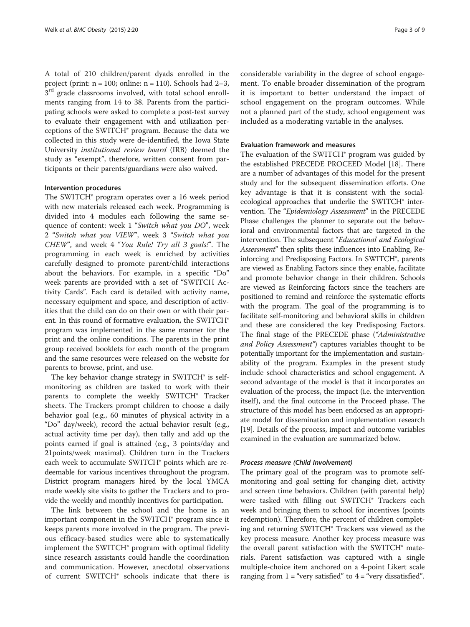A total of 210 children/parent dyads enrolled in the project (print:  $n = 100$ ; online:  $n = 110$ ). Schools had 2-3,  $3<sup>rd</sup>$  grade classrooms involved, with total school enrollments ranging from 14 to 38. Parents from the participating schools were asked to complete a post-test survey to evaluate their engagement with and utilization perceptions of the SWITCH® program. Because the data we collected in this study were de-identified, the Iowa State University institutional review board (IRB) deemed the study as "exempt", therefore, written consent from participants or their parents/guardians were also waived.

#### Intervention procedures

The SWITCH® program operates over a 16 week period with new materials released each week. Programming is divided into 4 modules each following the same sequence of content: week 1 "Switch what you DO", week 2 "Switch what you VIEW", week 3 "Switch what you CHEW", and week 4 "You Rule! Try all 3 goals!". The programming in each week is enriched by activities carefully designed to promote parent/child interactions about the behaviors. For example, in a specific "Do" week parents are provided with a set of "SWITCH Activity Cards". Each card is detailed with activity name, necessary equipment and space, and description of activities that the child can do on their own or with their parent. In this round of formative evaluation, the SWITCH® program was implemented in the same manner for the print and the online conditions. The parents in the print group received booklets for each month of the program and the same resources were released on the website for parents to browse, print, and use.

The key behavior change strategy in SWITCH® is selfmonitoring as children are tasked to work with their parents to complete the weekly SWITCH® Tracker sheets. The Trackers prompt children to choose a daily behavior goal (e.g., 60 minutes of physical activity in a "Do" day/week), record the actual behavior result (e.g., actual activity time per day), then tally and add up the points earned if goal is attained (e.g., 3 points/day and 21points/week maximal). Children turn in the Trackers each week to accumulate SWITCH<sup>®</sup> points which are redeemable for various incentives throughout the program. District program managers hired by the local YMCA made weekly site visits to gather the Trackers and to provide the weekly and monthly incentives for participation.

The link between the school and the home is an important component in the SWITCH® program since it keeps parents more involved in the program. The previous efficacy-based studies were able to systematically implement the SWITCH® program with optimal fidelity since research assistants could handle the coordination and communication. However, anecdotal observations of current SWITCH® schools indicate that there is

considerable variability in the degree of school engagement. To enable broader dissemination of the program it is important to better understand the impact of school engagement on the program outcomes. While not a planned part of the study, school engagement was included as a moderating variable in the analyses.

#### Evaluation framework and measures

The evaluation of the SWITCH® program was guided by the established PRECEDE PROCEED Model [[18](#page-8-0)]. There are a number of advantages of this model for the present study and for the subsequent dissemination efforts. One key advantage is that it is consistent with the socialecological approaches that underlie the SWITCH® intervention. The "Epidemiology Assessment" in the PRECEDE Phase challenges the planner to separate out the behavioral and environmental factors that are targeted in the intervention. The subsequent "Educational and Ecological Assessment" then splits these influences into Enabling, Reinforcing and Predisposing Factors. In SWITCH®, parents are viewed as Enabling Factors since they enable, facilitate and promote behavior change in their children. Schools are viewed as Reinforcing factors since the teachers are positioned to remind and reinforce the systematic efforts with the program. The goal of the programming is to facilitate self-monitoring and behavioral skills in children and these are considered the key Predisposing Factors. The final stage of the PRECEDE phase ("Administrative and Policy Assessment") captures variables thought to be potentially important for the implementation and sustainability of the program. Examples in the present study include school characteristics and school engagement. A second advantage of the model is that it incorporates an evaluation of the process, the impact (i.e. the intervention itself), and the final outcome in the Proceed phase. The structure of this model has been endorsed as an appropriate model for dissemination and implementation research [[19](#page-8-0)]. Details of the process, impact and outcome variables examined in the evaluation are summarized below.

#### Process measure (Child Involvement)

The primary goal of the program was to promote selfmonitoring and goal setting for changing diet, activity and screen time behaviors. Children (with parental help) were tasked with filling out SWITCH® Trackers each week and bringing them to school for incentives (points redemption). Therefore, the percent of children completing and returning SWITCH® Trackers was viewed as the key process measure. Another key process measure was the overall parent satisfaction with the SWITCH® materials. Parent satisfaction was captured with a single multiple-choice item anchored on a 4-point Likert scale ranging from  $1 =$  "very satisfied" to  $4 =$  "very dissatisfied".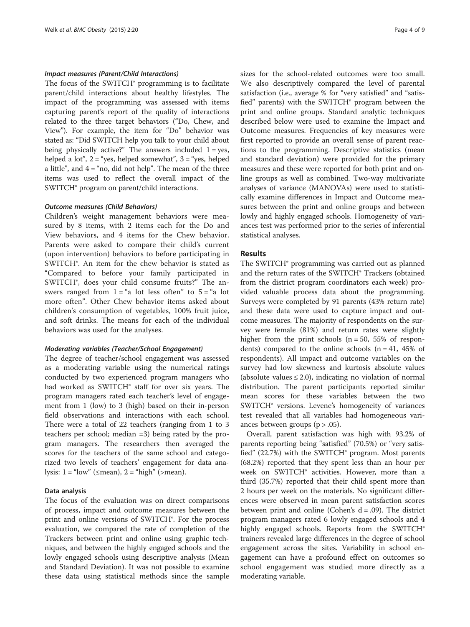#### Impact measures (Parent/Child Interactions)

The focus of the SWITCH® programming is to facilitate parent/child interactions about healthy lifestyles. The impact of the programming was assessed with items capturing parent's report of the quality of interactions related to the three target behaviors ("Do, Chew, and View"). For example, the item for "Do" behavior was stated as: "Did SWITCH help you talk to your child about being physically active?" The answers included  $1 = yes$ , helped a lot",  $2 =$  "yes, helped somewhat",  $3 =$  "yes, helped a little", and  $4 = \text{``no, did not help''}.$  The mean of the three items was used to reflect the overall impact of the SWITCH® program on parent/child interactions.

#### Outcome measures (Child Behaviors)

Children's weight management behaviors were measured by 8 items, with 2 items each for the Do and View behaviors, and 4 items for the Chew behavior. Parents were asked to compare their child's current (upon intervention) behaviors to before participating in SWITCH®. An item for the chew behavior is stated as "Compared to before your family participated in SWITCH®, does your child consume fruits?" The answers ranged from  $1 = 4$  lot less often" to  $5 = 4$  lot more often". Other Chew behavior items asked about children's consumption of vegetables, 100% fruit juice, and soft drinks. The means for each of the individual behaviors was used for the analyses.

#### Moderating variables (Teacher/School Engagement)

The degree of teacher/school engagement was assessed as a moderating variable using the numerical ratings conducted by two experienced program managers who had worked as SWITCH® staff for over six years. The program managers rated each teacher's level of engagement from 1 (low) to 3 (high) based on their in-person field observations and interactions with each school. There were a total of 22 teachers (ranging from 1 to 3 teachers per school; median =3) being rated by the program managers. The researchers then averaged the scores for the teachers of the same school and categorized two levels of teachers' engagement for data analysis:  $1 =$  "low" ( $\le$ mean),  $2 =$  "high" ( $\ge$ mean).

#### Data analysis

The focus of the evaluation was on direct comparisons of process, impact and outcome measures between the print and online versions of SWITCH®. For the process evaluation, we compared the rate of completion of the Trackers between print and online using graphic techniques, and between the highly engaged schools and the lowly engaged schools using descriptive analysis (Mean and Standard Deviation). It was not possible to examine these data using statistical methods since the sample

sizes for the school-related outcomes were too small. We also descriptively compared the level of parental satisfaction (i.e., average % for "very satisfied" and "satisfied" parents) with the SWITCH® program between the print and online groups. Standard analytic techniques described below were used to examine the Impact and Outcome measures. Frequencies of key measures were first reported to provide an overall sense of parent reactions to the programming. Descriptive statistics (mean and standard deviation) were provided for the primary measures and these were reported for both print and online groups as well as combined. Two-way multivariate analyses of variance (MANOVAs) were used to statistically examine differences in Impact and Outcome measures between the print and online groups and between lowly and highly engaged schools. Homogeneity of variances test was performed prior to the series of inferential statistical analyses.

#### Results

The SWITCH® programming was carried out as planned and the return rates of the SWITCH® Trackers (obtained from the district program coordinators each week) provided valuable process data about the programming. Surveys were completed by 91 parents (43% return rate) and these data were used to capture impact and outcome measures. The majority of respondents on the survey were female (81%) and return rates were slightly higher from the print schools  $(n = 50, 55\%)$  of respondents) compared to the online schools  $(n = 41, 45\%)$  of respondents). All impact and outcome variables on the survey had low skewness and kurtosis absolute values (absolute values  $\leq$  2.0), indicating no violation of normal distribution. The parent participants reported similar mean scores for these variables between the two SWITCH® versions. Levene's homogeneity of variances test revealed that all variables had homogeneous variances between groups (p > .05).

Overall, parent satisfaction was high with 93.2% of parents reporting being "satisfied" (70.5%) or "very satisfied" (22.7%) with the SWITCH® program. Most parents (68.2%) reported that they spent less than an hour per week on SWITCH® activities. However, more than a third (35.7%) reported that their child spent more than 2 hours per week on the materials. No significant differences were observed in mean parent satisfaction scores between print and online (Cohen's  $d = .09$ ). The district program managers rated 6 lowly engaged schools and 4 highly engaged schools. Reports from the SWITCH® trainers revealed large differences in the degree of school engagement across the sites. Variability in school engagement can have a profound effect on outcomes so school engagement was studied more directly as a moderating variable.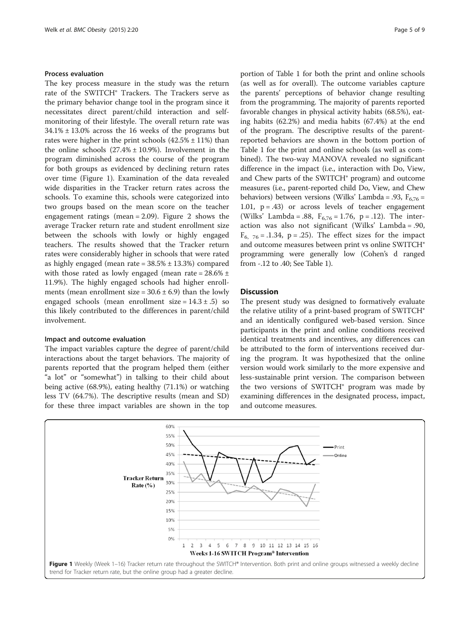#### Process evaluation

The key process measure in the study was the return rate of the SWITCH® Trackers. The Trackers serve as the primary behavior change tool in the program since it necessitates direct parent/child interaction and selfmonitoring of their lifestyle. The overall return rate was 34.1% ± 13.0% across the 16 weeks of the programs but rates were higher in the print schools  $(42.5% \pm 11%)$  than the online schools  $(27.4% \pm 10.9%)$ . Involvement in the program diminished across the course of the program for both groups as evidenced by declining return rates over time (Figure 1). Examination of the data revealed wide disparities in the Tracker return rates across the schools. To examine this, schools were categorized into two groups based on the mean score on the teacher engagement ratings (mean = 2.09). Figure [2](#page-5-0) shows the average Tracker return rate and student enrollment size between the schools with lowly or highly engaged teachers. The results showed that the Tracker return rates were considerably higher in schools that were rated as highly engaged (mean rate =  $38.5\% \pm 13.3\%$ ) compared with those rated as lowly engaged (mean rate =  $28.6\% \pm$ 11.9%). The highly engaged schools had higher enrollments (mean enrollment size =  $30.6 \pm 6.9$ ) than the lowly engaged schools (mean enrollment size =  $14.3 \pm .5$ ) so this likely contributed to the differences in parent/child involvement.

#### Impact and outcome evaluation

The impact variables capture the degree of parent/child interactions about the target behaviors. The majority of parents reported that the program helped them (either "a lot" or "somewhat") in talking to their child about being active (68.9%), eating healthy (71.1%) or watching less TV (64.7%). The descriptive results (mean and SD) for these three impact variables are shown in the top

portion of Table [1](#page-5-0) for both the print and online schools (as well as for overall). The outcome variables capture the parents' perceptions of behavior change resulting from the programming. The majority of parents reported favorable changes in physical activity habits (68.5%), eating habits (62.2%) and media habits (67.4%) at the end of the program. The descriptive results of the parentreported behaviors are shown in the bottom portion of Table [1](#page-5-0) for the print and online schools (as well as combined). The two-way MANOVA revealed no significant difference in the impact (i.e., interaction with Do, View, and Chew parts of the SWITCH® program) and outcome measures (i.e., parent-reported child Do, View, and Chew behaviors) between versions (Wilks' Lambda = .93,  $F_{6,76}$  = 1.01,  $p = .43$ ) or across levels of teacher engagement (Wilks' Lambda = .88,  $F_{6,76} = 1.76$ , p = .12). The interaction was also not significant (Wilks' Lambda = .90,  $F_{6, 76} = .1.34$ , p = .25). The effect sizes for the impact and outcome measures between print vs online SWITCH® programming were generally low (Cohen's d ranged from -.12 to .40; See Table [1\)](#page-5-0).

#### **Discussion**

The present study was designed to formatively evaluate the relative utility of a print-based program of SWITCH® and an identically configured web-based version. Since participants in the print and online conditions received identical treatments and incentives, any differences can be attributed to the form of interventions received during the program. It was hypothesized that the online version would work similarly to the more expensive and less-sustainable print version. The comparison between the two versions of SWITCH® program was made by examining differences in the designated process, impact, and outcome measures.

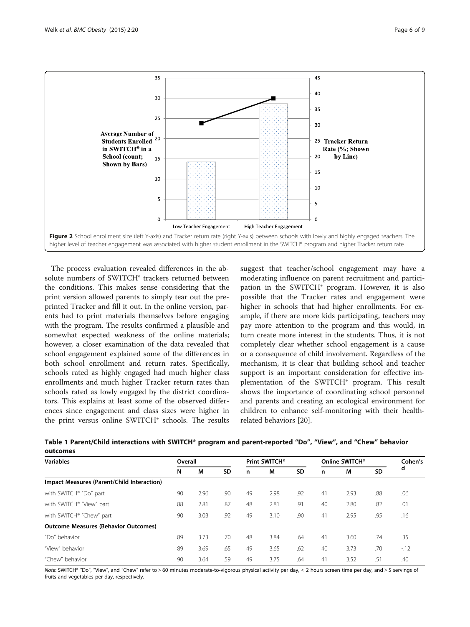

<span id="page-5-0"></span>

The process evaluation revealed differences in the absolute numbers of SWITCH® trackers returned between the conditions. This makes sense considering that the print version allowed parents to simply tear out the preprinted Tracker and fill it out. In the online version, parents had to print materials themselves before engaging with the program. The results confirmed a plausible and somewhat expected weakness of the online materials; however, a closer examination of the data revealed that school engagement explained some of the differences in both school enrollment and return rates. Specifically, schools rated as highly engaged had much higher class enrollments and much higher Tracker return rates than schools rated as lowly engaged by the district coordinators. This explains at least some of the observed differences since engagement and class sizes were higher in the print versus online SWITCH® schools. The results

suggest that teacher/school engagement may have a moderating influence on parent recruitment and participation in the SWITCH® program. However, it is also possible that the Tracker rates and engagement were higher in schools that had higher enrollments. For example, if there are more kids participating, teachers may pay more attention to the program and this would, in turn create more interest in the students. Thus, it is not completely clear whether school engagement is a cause or a consequence of child involvement. Regardless of the mechanism, it is clear that building school and teacher support is an important consideration for effective implementation of the SWITCH® program. This result shows the importance of coordinating school personnel and parents and creating an ecological environment for children to enhance self-monitoring with their healthrelated behaviors [\[20](#page-8-0)].

| Table 1 Parent/Child interactions with SWITCH <sup>®</sup> program and parent-reported "Do", "View", and "Chew" behavior |  |  |  |
|--------------------------------------------------------------------------------------------------------------------------|--|--|--|
| outcomes                                                                                                                 |  |  |  |

| <b>Variables</b>                            | Overall |      |     | Print SWITCH® |      | Online SWITCH <sup>®</sup> |    | Cohen's |     |       |
|---------------------------------------------|---------|------|-----|---------------|------|----------------------------|----|---------|-----|-------|
|                                             | N       | М    | SD  | n             | М    | <b>SD</b>                  | n  | М       | SD  | d     |
| Impact Measures (Parent/Child Interaction)  |         |      |     |               |      |                            |    |         |     |       |
| with SWITCH® "Do" part                      | 90      | 2.96 | .90 | 49            | 2.98 | .92                        | 41 | 2.93    | .88 | .06   |
| with SWITCH® "View" part                    | 88      | 2.81 | .87 | 48            | 2.81 | .91                        | 40 | 2.80    | .82 | .01   |
| with SWITCH® "Chew" part                    | 90      | 3.03 | .92 | 49            | 3.10 | .90                        | 41 | 2.95    | .95 | .16   |
| <b>Outcome Measures (Behavior Outcomes)</b> |         |      |     |               |      |                            |    |         |     |       |
| "Do" behavior                               | 89      | 3.73 | .70 | 48            | 3.84 | .64                        | 41 | 3.60    | .74 | .35   |
| "View" behavior                             | 89      | 3.69 | .65 | 49            | 3.65 | .62                        | 40 | 3.73    | .70 | $-12$ |
| "Chew" behavior                             | 90      | 3.64 | .59 | 49            | 3.75 | .64                        | 41 | 3.52    | .51 | .40   |

Note: SWITCH® "Do", "View", and "Chew" refer to ≥60 minutes moderate-to-vigorous physical activity per day, ≤ 2 hours screen time per day, and ≥ 5 servings of fruits and vegetables per day, respectively.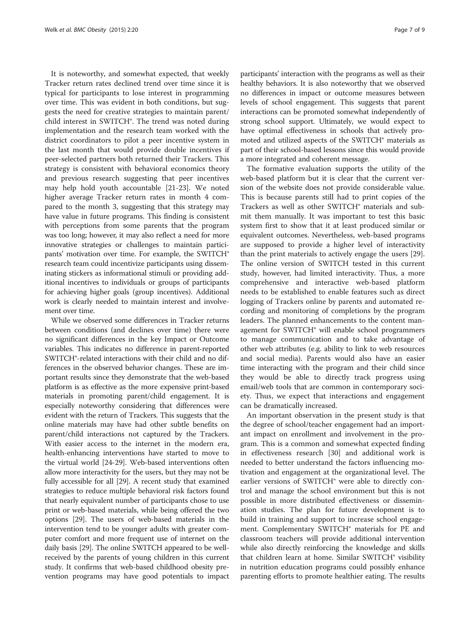It is noteworthy, and somewhat expected, that weekly Tracker return rates declined trend over time since it is typical for participants to lose interest in programming over time. This was evident in both conditions, but suggests the need for creative strategies to maintain parent/ child interest in SWITCH®. The trend was noted during implementation and the research team worked with the district coordinators to pilot a peer incentive system in the last month that would provide double incentives if peer-selected partners both returned their Trackers. This strategy is consistent with behavioral economics theory and previous research suggesting that peer incentives may help hold youth accountable [[21-23](#page-8-0)]. We noted higher average Tracker return rates in month 4 compared to the month 3, suggesting that this strategy may have value in future programs. This finding is consistent with perceptions from some parents that the program was too long; however, it may also reflect a need for more innovative strategies or challenges to maintain participants' motivation over time. For example, the SWITCH® research team could incentivize participants using disseminating stickers as informational stimuli or providing additional incentives to individuals or groups of participants for achieving higher goals (group incentives). Additional work is clearly needed to maintain interest and involvement over time.

While we observed some differences in Tracker returns between conditions (and declines over time) there were no significant differences in the key Impact or Outcome variables. This indicates no difference in parent-reported SWITCH®-related interactions with their child and no differences in the observed behavior changes. These are important results since they demonstrate that the web-based platform is as effective as the more expensive print-based materials in promoting parent/child engagement. It is especially noteworthy considering that differences were evident with the return of Trackers. This suggests that the online materials may have had other subtle benefits on parent/child interactions not captured by the Trackers. With easier access to the internet in the modern era, health-enhancing interventions have started to move to the virtual world [[24](#page-8-0)-[29](#page-8-0)]. Web-based interventions often allow more interactivity for the users, but they may not be fully accessible for all [\[29](#page-8-0)]. A recent study that examined strategies to reduce multiple behavioral risk factors found that nearly equivalent number of participants chose to use print or web-based materials, while being offered the two options [[29\]](#page-8-0). The users of web-based materials in the intervention tend to be younger adults with greater computer comfort and more frequent use of internet on the daily basis [\[29](#page-8-0)]. The online SWITCH appeared to be wellreceived by the parents of young children in this current study. It confirms that web-based childhood obesity prevention programs may have good potentials to impact

participants' interaction with the programs as well as their healthy behaviors. It is also noteworthy that we observed no differences in impact or outcome measures between levels of school engagement. This suggests that parent interactions can be promoted somewhat independently of strong school support. Ultimately, we would expect to have optimal effectiveness in schools that actively promoted and utilized aspects of the SWITCH® materials as part of their school-based lessons since this would provide a more integrated and coherent message.

The formative evaluation supports the utility of the web-based platform but it is clear that the current version of the website does not provide considerable value. This is because parents still had to print copies of the Trackers as well as other SWITCH® materials and submit them manually. It was important to test this basic system first to show that it at least produced similar or equivalent outcomes. Nevertheless, web-based programs are supposed to provide a higher level of interactivity than the print materials to actively engage the users [\[29](#page-8-0)]. The online version of SWITCH tested in this current study, however, had limited interactivity. Thus, a more comprehensive and interactive web-based platform needs to be established to enable features such as direct logging of Trackers online by parents and automated recording and monitoring of completions by the program leaders. The planned enhancements to the content management for SWITCH® will enable school programmers to manage communication and to take advantage of other web attributes (e.g. ability to link to web resources and social media). Parents would also have an easier time interacting with the program and their child since they would be able to directly track progress using email/web tools that are common in contemporary society. Thus, we expect that interactions and engagement can be dramatically increased.

An important observation in the present study is that the degree of school/teacher engagement had an important impact on enrollment and involvement in the program. This is a common and somewhat expected finding in effectiveness research [[30\]](#page-8-0) and additional work is needed to better understand the factors influencing motivation and engagement at the organizational level. The earlier versions of SWITCH<sup>®</sup> were able to directly control and manage the school environment but this is not possible in more distributed effectiveness or dissemination studies. The plan for future development is to build in training and support to increase school engagement. Complementary SWITCH® materials for PE and classroom teachers will provide additional intervention while also directly reinforcing the knowledge and skills that children learn at home. Similar SWITCH® visibility in nutrition education programs could possibly enhance parenting efforts to promote healthier eating. The results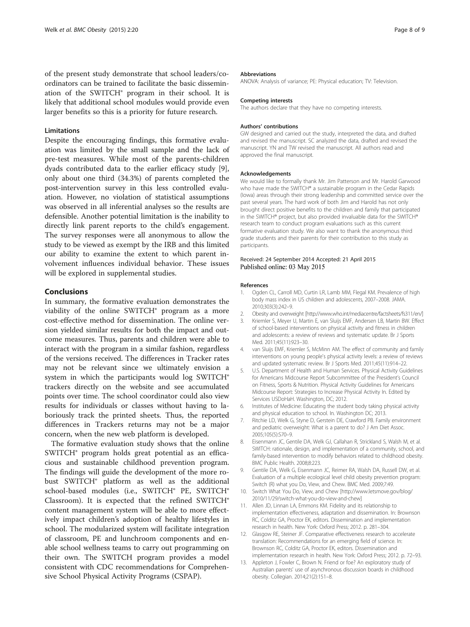<span id="page-7-0"></span>of the present study demonstrate that school leaders/coordinators can be trained to facilitate the basic dissemination of the SWITCH® program in their school. It is likely that additional school modules would provide even larger benefits so this is a priority for future research.

#### Limitations

Despite the encouraging findings, this formative evaluation was limited by the small sample and the lack of pre-test measures. While most of the parents-children dyads contributed data to the earlier efficacy study [9], only about one third (34.3%) of parents completed the post-intervention survey in this less controlled evaluation. However, no violation of statistical assumptions was observed in all inferential analyses so the results are defensible. Another potential limitation is the inability to directly link parent reports to the child's engagement. The survey responses were all anonymous to allow the study to be viewed as exempt by the IRB and this limited our ability to examine the extent to which parent involvement influences individual behavior. These issues will be explored in supplemental studies.

#### Conclusions

In summary, the formative evaluation demonstrates the viability of the online SWITCH® program as a more cost-effective method for dissemination. The online version yielded similar results for both the impact and outcome measures. Thus, parents and children were able to interact with the program in a similar fashion, regardless of the versions received. The differences in Tracker rates may not be relevant since we ultimately envision a system in which the participants would log SWITCH® trackers directly on the website and see accumulated points over time. The school coordinator could also view results for individuals or classes without having to laboriously track the printed sheets. Thus, the reported differences in Trackers returns may not be a major concern, when the new web platform is developed.

The formative evaluation study shows that the online SWITCH® program holds great potential as an efficacious and sustainable childhood prevention program. The findings will guide the development of the more robust SWITCH® platform as well as the additional school-based modules (i.e., SWITCH® PE, SWITCH® Classroom). It is expected that the refined  $SWITCH^*$ content management system will be able to more effectively impact children's adoption of healthy lifestyles in school. The modularized system will facilitate integration of classroom, PE and lunchroom components and enable school wellness teams to carry out programming on their own. The SWITCH program provides a model consistent with CDC recommendations for Comprehensive School Physical Activity Programs (CSPAP).

#### Abbreviations

ANOVA: Analysis of variance; PE: Physical education; TV: Television.

#### Competing interests

The authors declare that they have no competing interests.

#### Authors' contributions

GW designed and carried out the study, interpreted the data, and drafted and revised the manuscript. SC analyzed the data, drafted and revised the manuscript. YN and TW revised the manuscript. All authors read and approved the final manuscript.

#### Acknowledgements

We would like to formally thank Mr. Jim Patterson and Mr. Harold Garwood who have made the SWITCH® a sustainable program in the Cedar Rapids (Iowa) areas through their strong leadership and committed service over the past several years. The hard work of both Jim and Harold has not only brought direct positive benefits to the children and family that participated in the SWITCH® project, but also provided invaluable data for the SWITCH® research team to conduct program evaluations such as this current formative evaluation study. We also want to thank the anonymous third grade students and their parents for their contribution to this study as participants.

#### Received: 24 September 2014 Accepted: 21 April 2015 Published online: 03 May 2015

#### References

- 1. Ogden CL, Carroll MD, Curtin LR, Lamb MM, Flegal KM. Prevalence of high body mass index in US children and adolescents, 2007–2008. JAMA. 2010;303(3):242–9.
- 2. Obesity and overweight [[http://www.who.int/mediacentre/factsheets/fs311/en/\]](http://www.who.int/mediacentre/factsheets/fs311/en/)
- 3. Kriemler S, Meyer U, Martin E, van Sluijs EMF, Andersen LB, Martin BW. Effect of school-based interventions on physical activity and fitness in children and adolescents: a review of reviews and systematic update. Br J Sports Med. 2011;45(11):923–30.
- 4. van Sluijs EMF, Kriemler S, McMinn AM. The effect of community and family interventions on young people's physical activity levels: a review of reviews and updated systematic review. Br J Sports Med. 2011;45(11):914–22.
- 5. U.S. Department of Health and Human Services. Physical Activity Guidelines for Americans Midcourse Report Subcommittee of the President's Council on Fitness, Sports & Nutrition. Physical Activity Guidelines for Americans Midcourse Report: Strategies to Increase Physical Activity In. Edited by Services USDoHaH. Washington, DC; 2012.
- 6. Institutes of Medicine: Educating the student body taking physical activity and physical education to school. In. Washington DC; 2013.
- 7. Ritchie LD, Welk G, Styne D, Gerstein DE, Crawford PB. Family environment and pediatric overweight: What is a parent to do? J Am Diet Assoc. 2005;105(5):S70–9.
- 8. Eisenmann JC, Gentile DA, Welk GJ, Callahan R, Strickland S, Walsh M, et al. SWITCH: rationale, design, and implementation of a community, school, and family-based intervention to modify behaviors related to childhood obesity. BMC Public Health. 2008;8:223.
- 9. Gentile DA, Welk G, Eisenmann JC, Reimer RA, Walsh DA, Russell DW, et al. Evaluation of a multiple ecological level child obesity prevention program: Switch (R) what you Do, View, and Chew. BMC Med. 2009;7:49.
- 10. Switch What You Do, View, and Chew [[http://www.letsmove.gov/blog/](http://www.letsmove.gov/blog/2010/11/29/switch-what-you-do-view-and-chew) [2010/11/29/switch-what-you-do-view-and-chew\]](http://www.letsmove.gov/blog/2010/11/29/switch-what-you-do-view-and-chew)
- 11. Allen JD, Linnan LA, Emmons KM. Fidelity and its relationship to implementation effectiveness, adaptation and dissemination. In: Brownson RC, Colditz GA, Proctor EK, editors. Dissemination and implementation research in health. New York: Oxford Press; 2012. p. 281–304.
- 12. Glasgow RE, Steiner JF. Comparative effectiveness research to accelerate translation: Recommendations for an emerging field of science. In: Brownson RC, Colditz GA, Proctor EK, editors. Dissemination and implementation research in health. New York: Oxford Press; 2012. p. 72–93.
- 13. Appleton J, Fowler C, Brown N. Friend or foe? An exploratory study of Australian parents' use of asynchronous discussion boards in childhood obesity. Collegian. 2014;21(2):151–8.